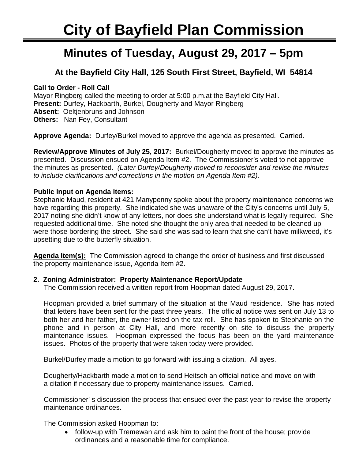# ٦ **Minutes of Tuesday, August 29, 2017 – 5pm**

## **At the Bayfield City Hall, 125 South First Street, Bayfield, WI 54814**

## **Call to Order - Roll Call**

Mayor Ringberg called the meeting to order at 5:00 p.m.at the Bayfield City Hall. **Present:** Durfey, Hackbarth, Burkel, Dougherty and Mayor Ringberg **Absent:** Oeltjenbruns and Johnson **Others:** Nan Fey, Consultant

**Approve Agenda:** Durfey/Burkel moved to approve the agenda as presented. Carried.

**Review/Approve Minutes of July 25, 2017:** Burkel/Dougherty moved to approve the minutes as presented. Discussion ensued on Agenda Item #2. The Commissioner's voted to not approve the minutes as presented. *(Later Durfey/Dougherty moved to reconsider and revise the minutes to include clarifications and corrections in the motion on Agenda Item #2).*

#### **Public Input on Agenda Items:**

Stephanie Maud, resident at 421 Manypenny spoke about the property maintenance concerns we have regarding this property. She indicated she was unaware of the City's concerns until July 5, 2017 noting she didn't know of any letters, nor does she understand what is legally required. She requested additional time. She noted she thought the only area that needed to be cleaned up were those bordering the street. She said she was sad to learn that she can't have milkweed, it's upsetting due to the butterfly situation.

**Agenda Item(s):** The Commission agreed to change the order of business and first discussed the property maintenance issue, Agenda Item #2.

## **2. Zoning Administrator: Property Maintenance Report/Update**

The Commission received a written report from Hoopman dated August 29, 2017.

Hoopman provided a brief summary of the situation at the Maud residence. She has noted that letters have been sent for the past three years. The official notice was sent on July 13 to both her and her father, the owner listed on the tax roll. She has spoken to Stephanie on the phone and in person at City Hall, and more recently on site to discuss the property maintenance issues. Hoopman expressed the focus has been on the yard maintenance issues. Photos of the property that were taken today were provided.

Burkel/Durfey made a motion to go forward with issuing a citation. All ayes.

Dougherty/Hackbarth made a motion to send Heitsch an official notice and move on with a citation if necessary due to property maintenance issues. Carried.

Commissioner' s discussion the process that ensued over the past year to revise the property maintenance ordinances.

The Commission asked Hoopman to:

• follow-up with Tremewan and ask him to paint the front of the house; provide ordinances and a reasonable time for compliance.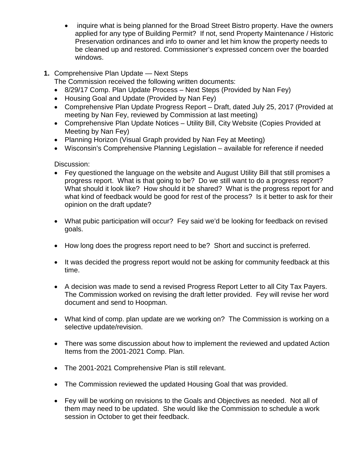- inquire what is being planned for the Broad Street Bistro property. Have the owners applied for any type of Building Permit? If not, send Property Maintenance / Historic Preservation ordinances and info to owner and let him know the property needs to be cleaned up and restored. Commissioner's expressed concern over the boarded windows.
- **1.** Comprehensive Plan Update Next Steps
	- The Commission received the following written documents:
	- 8/29/17 Comp. Plan Update Process Next Steps (Provided by Nan Fey)
	- Housing Goal and Update (Provided by Nan Fey)
	- Comprehensive Plan Update Progress Report Draft, dated July 25, 2017 (Provided at meeting by Nan Fey, reviewed by Commission at last meeting)
	- Comprehensive Plan Update Notices Utility Bill, City Website (Copies Provided at Meeting by Nan Fey)
	- Planning Horizon (Visual Graph provided by Nan Fey at Meeting)
	- Wisconsin's Comprehensive Planning Legislation available for reference if needed

Discussion:

- Fey questioned the language on the website and August Utility Bill that still promises a progress report. What is that going to be? Do we still want to do a progress report? What should it look like? How should it be shared? What is the progress report for and what kind of feedback would be good for rest of the process? Is it better to ask for their opinion on the draft update?
- What pubic participation will occur? Fey said we'd be looking for feedback on revised goals.
- How long does the progress report need to be? Short and succinct is preferred.
- It was decided the progress report would not be asking for community feedback at this time.
- A decision was made to send a revised Progress Report Letter to all City Tax Payers. The Commission worked on revising the draft letter provided. Fey will revise her word document and send to Hoopman.
- What kind of comp. plan update are we working on? The Commission is working on a selective update/revision.
- There was some discussion about how to implement the reviewed and updated Action Items from the 2001-2021 Comp. Plan.
- The 2001-2021 Comprehensive Plan is still relevant.
- The Commission reviewed the updated Housing Goal that was provided.
- Fey will be working on revisions to the Goals and Objectives as needed. Not all of them may need to be updated. She would like the Commission to schedule a work session in October to get their feedback.